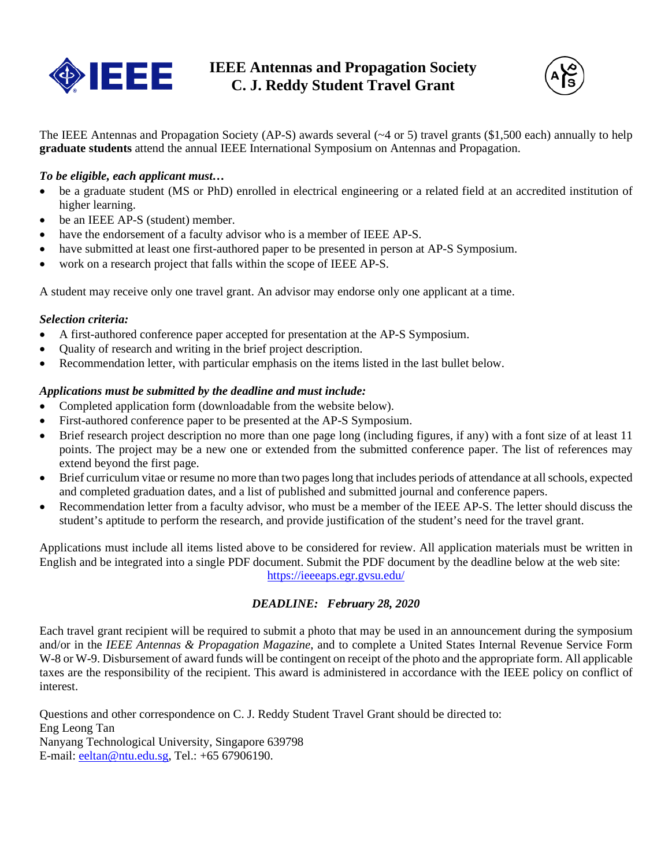



The IEEE Antennas and Propagation Society (AP-S) awards several (~4 or 5) travel grants (\$1,500 each) annually to help **graduate students** attend the annual IEEE International Symposium on Antennas and Propagation.

## *To be eligible, each applicant must…*

- be a graduate student (MS or PhD) enrolled in electrical engineering or a related field at an accredited institution of higher learning.
- be an IEEE AP-S (student) member.
- have the endorsement of a faculty advisor who is a member of IEEE AP-S.
- have submitted at least one first-authored paper to be presented in person at AP-S Symposium.
- work on a research project that falls within the scope of IEEE AP-S.

A student may receive only one travel grant. An advisor may endorse only one applicant at a time.

## *Selection criteria:*

- A first-authored conference paper accepted for presentation at the AP-S Symposium.
- Quality of research and writing in the brief project description.
- Recommendation letter, with particular emphasis on the items listed in the last bullet below.

## *Applications must be submitted by the deadline and must include:*

- Completed application form (downloadable from the website below).
- First-authored conference paper to be presented at the AP-S Symposium.
- $\bullet$  Brief research project description no more than one page long (including figures, if any) with a font size of at least 11 points. The project may be a new one or extended from the submitted conference paper. The list of references may extend beyond the first page.
- Brief curriculum vitae or resume no more than two pages long that includes periods of attendance at all schools, expected and completed graduation dates, and a list of published and submitted journal and conference papers.
- Recommendation letter from a faculty advisor, who must be a member of the IEEE AP-S. The letter should discuss the student's aptitude to perform the research, and provide justification of the student's need for the travel grant.

Applications must include all items listed above to be considered for review. All application materials must be written in English and be integrated into a single PDF document. Submit the PDF document by the deadline below at the web site: <https://ieeeaps.egr.gvsu.edu/>

*DEADLINE: February 28, 2020*

Each travel grant recipient will be required to submit a photo that may be used in an announcement during the symposium and/or in the *IEEE Antennas & Propagation Magazine*, and to complete a United States Internal Revenue Service Form W-8 or W-9. Disbursement of award funds will be contingent on receipt of the photo and the appropriate form. All applicable taxes are the responsibility of the recipient. This award is administered in accordance with the IEEE policy on conflict of interest.

Questions and other correspondence on C. J. Reddy Student Travel Grant should be directed to: Eng Leong Tan Nanyang Technological University, Singapore 639798 E-mail[: eeltan@ntu.edu.sg,](mailto:eeltan@ntu.edu.sg) Tel.: +65 67906190.